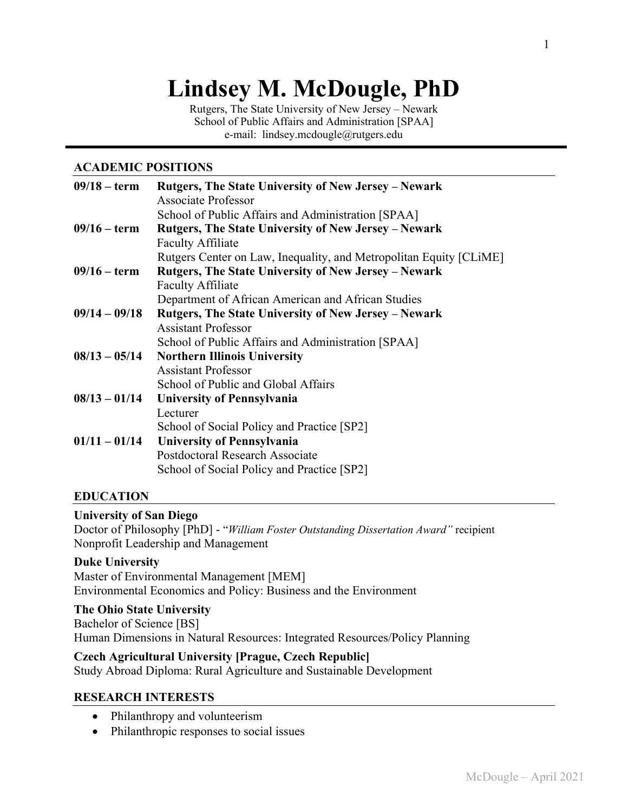# **Lindsey M. McDougle, PhD**

Rutgers, The State University of New Jersey – Newark School of Public Affairs and Administration [SPAA] e-mail: lindsey.mcdougle@rutgers.edu

#### **ACADEMIC POSITIONS**

| $09/18 - term$  | <b>Rutgers, The State University of New Jersey – Newark</b>        |  |
|-----------------|--------------------------------------------------------------------|--|
|                 | Associate Professor                                                |  |
|                 | School of Public Affairs and Administration [SPAA]                 |  |
| $09/16 - term$  | Rutgers, The State University of New Jersey - Newark               |  |
|                 | <b>Faculty Affiliate</b>                                           |  |
|                 | Rutgers Center on Law, Inequality, and Metropolitan Equity [CLIME] |  |
| $09/16 - term$  | <b>Rutgers, The State University of New Jersey – Newark</b>        |  |
|                 | <b>Faculty Affiliate</b>                                           |  |
|                 | Department of African American and African Studies                 |  |
| $09/14 - 09/18$ | <b>Rutgers, The State University of New Jersey – Newark</b>        |  |
|                 | <b>Assistant Professor</b>                                         |  |
|                 | School of Public Affairs and Administration [SPAA]                 |  |
| $08/13 - 05/14$ | <b>Northern Illinois University</b>                                |  |
|                 | <b>Assistant Professor</b>                                         |  |
|                 | School of Public and Global Affairs                                |  |
| $08/13 - 01/14$ | <b>University of Pennsylvania</b>                                  |  |
|                 | Lecturer                                                           |  |
|                 | School of Social Policy and Practice [SP2]                         |  |
| $01/11 - 01/14$ | <b>University of Pennsylvania</b>                                  |  |
|                 | Postdoctoral Research Associate                                    |  |
|                 | School of Social Policy and Practice [SP2]                         |  |
|                 |                                                                    |  |

### **EDUCATION**

#### **University of San Diego**

Doctor of Philosophy [PhD] - "*William Foster Outstanding Dissertation Award"* recipient Nonprofit Leadership and Management

#### **Duke University**

Master of Environmental Management [MEM] Environmental Economics and Policy: Business and the Environment

**The Ohio State University** Bachelor of Science [BS] Human Dimensions in Natural Resources: Integrated Resources/Policy Planning

### **Czech Agricultural University [Prague, Czech Republic]**

Study Abroad Diploma: Rural Agriculture and Sustainable Development

### **RESEARCH INTERESTS**

- Philanthropy and volunteerism
- Philanthropic responses to social issues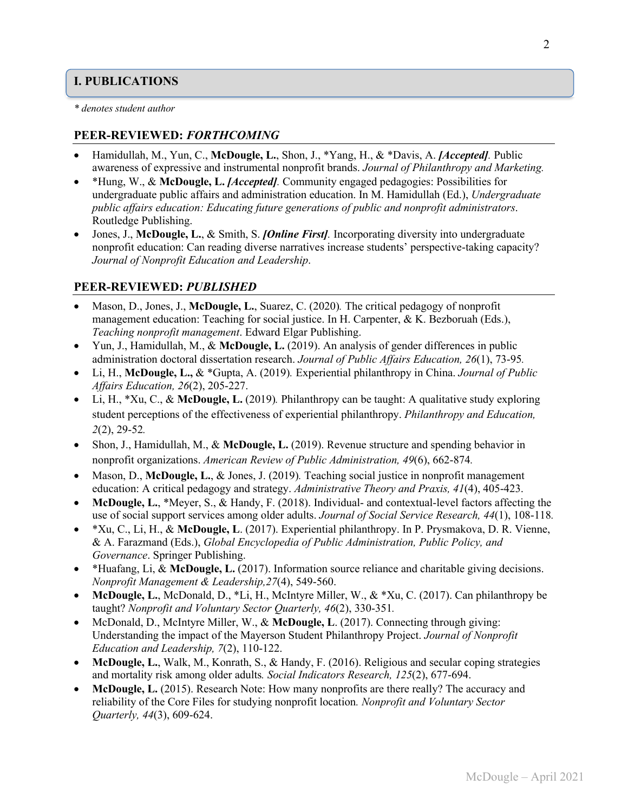# **I. PUBLICATIONS**

*\* denotes student author*

# **PEER-REVIEWED:** *FORTHCOMING*

- Hamidullah, M., Yun, C., **McDougle, L.**, Shon, J., \*Yang, H., & \*Davis, A. *[Accepted].* Public awareness of expressive and instrumental nonprofit brands. *Journal of Philanthropy and Marketing.*
- \*Hung, W., & **McDougle, L.** *[Accepted].* Community engaged pedagogies: Possibilities for undergraduate public affairs and administration education. In M. Hamidullah (Ed.), *Undergraduate public affairs education: Educating future generations of public and nonprofit administrators*. Routledge Publishing.
- Jones, J., **McDougle, L.**, & Smith, S. *[Online First].* Incorporating diversity into undergraduate nonprofit education: Can reading diverse narratives increase students' perspective-taking capacity? *Journal of Nonprofit Education and Leadership*.

### **PEER-REVIEWED:** *PUBLISHED*

- Mason, D., Jones, J., **McDougle, L.**, Suarez, C. (2020)*.* The critical pedagogy of nonprofit management education: Teaching for social justice. In H. Carpenter,  $\& K$ . Bezboruah (Eds.), *Teaching nonprofit management*. Edward Elgar Publishing.
- Yun, J., Hamidullah, M., & **McDougle, L.** (2019). An analysis of gender differences in public administration doctoral dissertation research. *Journal of Public Affairs Education, 26*(1), 73-95*.*
- Li, H., **McDougle, L.,** & \*Gupta, A. (2019)*.* Experiential philanthropy in China. *Journal of Public Affairs Education, 26*(2), 205-227.
- Li, H., \*Xu, C., & **McDougle, L.** (2019)*.* Philanthropy can be taught: A qualitative study exploring student perceptions of the effectiveness of experiential philanthropy. *Philanthropy and Education, 2*(2), 29-52*.*
- Shon, J., Hamidullah, M., & **McDougle, L.** (2019). Revenue structure and spending behavior in nonprofit organizations. *American Review of Public Administration, 49*(6), 662-874*.*
- Mason, D., **McDougle, L.**, & Jones, J. (2019). Teaching social justice in nonprofit management education: A critical pedagogy and strategy. *Administrative Theory and Praxis, 41*(4), 405-423.
- **McDougle, L.**, \*Meyer, S., & Handy, F. (2018). Individual- and contextual-level factors affecting the use of social support services among older adults. *Journal of Social Service Research, 44*(1), 108-118*.*
- \*Xu, C., Li, H., & **McDougle, L**. (2017). Experiential philanthropy. In P. Prysmakova, D. R. Vienne, & A. Farazmand (Eds.), *Global Encyclopedia of Public Administration, Public Policy, and Governance*. Springer Publishing.
- \*Huafang, Li, & **McDougle, L.** (2017). Information source reliance and charitable giving decisions. *Nonprofit Management & Leadership,27*(4), 549-560.
- **McDougle, L.**, McDonald, D., \*Li, H., McIntyre Miller, W., & \*Xu, C. (2017). Can philanthropy be taught? *Nonprofit and Voluntary Sector Quarterly, 46*(2), 330-351*.*
- McDonald, D., McIntyre Miller, W., & **McDougle, L**. (2017). Connecting through giving: Understanding the impact of the Mayerson Student Philanthropy Project. *Journal of Nonprofit Education and Leadership, 7*(2), 110-122.
- **McDougle, L.**, Walk, M., Konrath, S., & Handy, F. (2016). Religious and secular coping strategies and mortality risk among older adults*. Social Indicators Research, 125*(2), 677-694.
- **McDougle, L.** (2015). Research Note: How many nonprofits are there really? The accuracy and reliability of the Core Files for studying nonprofit location*. Nonprofit and Voluntary Sector Quarterly, 44*(3), 609-624.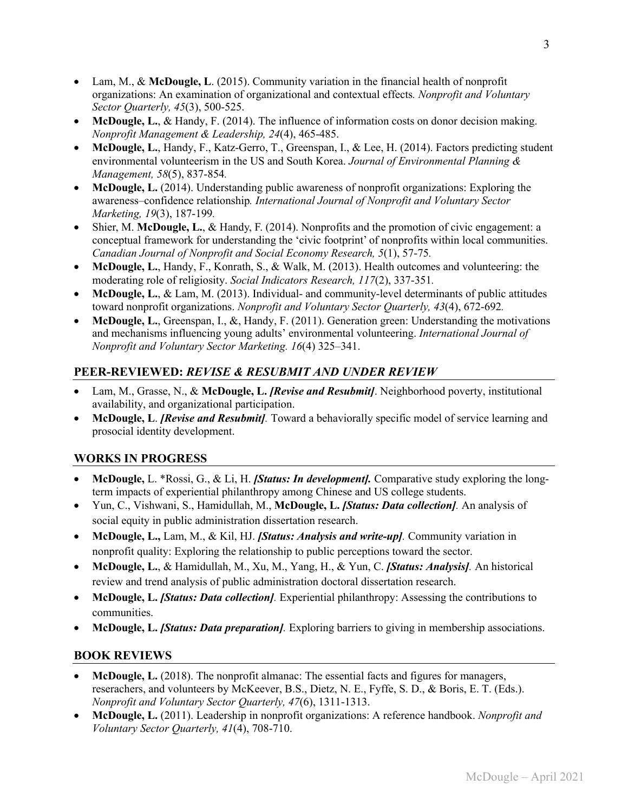- Lam, M., & **McDougle, L**. (2015). Community variation in the financial health of nonprofit organizations: An examination of organizational and contextual effects*. Nonprofit and Voluntary Sector Quarterly, 45*(3), 500-525.
- **McDougle, L.**, & Handy, F. (2014). The influence of information costs on donor decision making. *Nonprofit Management & Leadership, 24*(4), 465-485.
- **McDougle, L.**, Handy, F., Katz-Gerro, T., Greenspan, I., & Lee, H. (2014). Factors predicting student environmental volunteerism in the US and South Korea. *Journal of Environmental Planning & Management, 58*(5), 837-854*.*
- **McDougle, L.** (2014). Understanding public awareness of nonprofit organizations: Exploring the awareness–confidence relationship*. International Journal of Nonprofit and Voluntary Sector Marketing, 19*(3), 187-199*.*
- Shier, M. **McDougle, L.**, & Handy, F. (2014). Nonprofits and the promotion of civic engagement: a conceptual framework for understanding the 'civic footprint' of nonprofits within local communities. *Canadian Journal of Nonprofit and Social Economy Research, 5*(1), 57-75*.*
- **McDougle, L.**, Handy, F., Konrath, S., & Walk, M. (2013). Health outcomes and volunteering: the moderating role of religiosity. *Social Indicators Research, 117*(2), 337-351*.*
- McDougle, L., & Lam, M. (2013). Individual- and community-level determinants of public attitudes toward nonprofit organizations. *Nonprofit and Voluntary Sector Quarterly, 43*(4), 672-692*.*
- **McDougle, L.**, Greenspan, I., &, Handy, F. (2011). Generation green: Understanding the motivations and mechanisms influencing young adults' environmental volunteering. *International Journal of Nonprofit and Voluntary Sector Marketing. 16*(4) 325–341.

# **PEER-REVIEWED:** *REVISE & RESUBMIT AND UNDER REVIEW*

- Lam, M., Grasse, N., & **McDougle, L.** *[Revise and Resubmit]*. Neighborhood poverty, institutional availability, and organizational participation.
- **McDougle, L**. *[Revise and Resubmit].* Toward a behaviorally specific model of service learning and prosocial identity development.

### **WORKS IN PROGRESS**

- **McDougle,** L. \*Rossi, G., & Li, H. *[Status: In development].* Comparative study exploring the longterm impacts of experiential philanthropy among Chinese and US college students.
- Yun, C., Vishwani, S., Hamidullah, M., **McDougle, L.** *[Status: Data collection].* An analysis of social equity in public administration dissertation research.
- **McDougle, L.,** Lam, M., & Kil, HJ. *[Status: Analysis and write-up].* Community variation in nonprofit quality: Exploring the relationship to public perceptions toward the sector.
- **McDougle, L.**, & Hamidullah, M., Xu, M., Yang, H., & Yun, C. *[Status: Analysis].* An historical review and trend analysis of public administration doctoral dissertation research.
- **McDougle, L.** *[Status: Data collection].* Experiential philanthropy: Assessing the contributions to communities.
- **McDougle, L.** *[Status: Data preparation].* Exploring barriers to giving in membership associations.

### **BOOK REVIEWS**

- **McDougle, L.** (2018). The nonprofit almanac: The essential facts and figures for managers, reserachers, and volunteers by McKeever, B.S., Dietz, N. E., Fyffe, S. D., & Boris, E. T. (Eds.). *Nonprofit and Voluntary Sector Quarterly, 47*(6), 1311-1313.
- **McDougle, L.** (2011). Leadership in nonprofit organizations: A reference handbook. *Nonprofit and Voluntary Sector Quarterly, 41*(4), 708-710.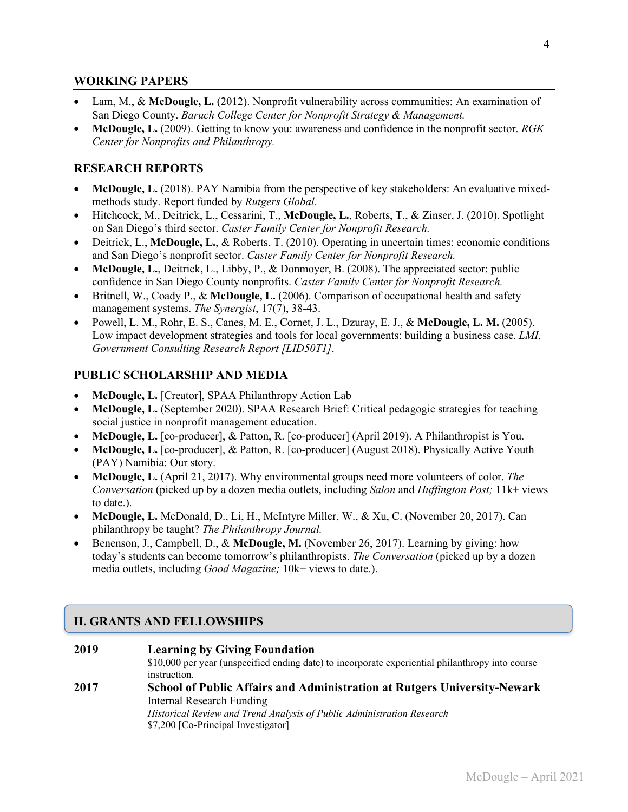#### **WORKING PAPERS**

- Lam, M., & **McDougle, L.** (2012). Nonprofit vulnerability across communities: An examination of San Diego County. *Baruch College Center for Nonprofit Strategy & Management.*
- **McDougle, L.** (2009). Getting to know you: awareness and confidence in the nonprofit sector. *RGK Center for Nonprofits and Philanthropy.*

### **RESEARCH REPORTS**

- **McDougle, L.** (2018). PAY Namibia from the perspective of key stakeholders: An evaluative mixedmethods study. Report funded by *Rutgers Global*.
- Hitchcock, M., Deitrick, L., Cessarini, T., **McDougle, L.**, Roberts, T., & Zinser, J. (2010). Spotlight on San Diego's third sector. *Caster Family Center for Nonprofit Research.*
- Deitrick, L., **McDougle, L.**, & Roberts, T. (2010). Operating in uncertain times: economic conditions and San Diego's nonprofit sector. *Caster Family Center for Nonprofit Research.*
- **McDougle, L.**, Deitrick, L., Libby, P., & Donmoyer, B. (2008). The appreciated sector: public confidence in San Diego County nonprofits. *Caster Family Center for Nonprofit Research.*
- Britnell, W., Coady P., & **McDougle, L.** (2006). Comparison of occupational health and safety management systems. *The Synergist*, 17(7), 38-43.
- Powell, L. M., Rohr, E. S., Canes, M. E., Cornet, J. L., Dzuray, E. J., & **McDougle, L. M.** (2005). Low impact development strategies and tools for local governments: building a business case. *LMI, Government Consulting Research Report [LID50T1]*.

### **PUBLIC SCHOLARSHIP AND MEDIA**

- **McDougle, L.** [Creator], SPAA Philanthropy Action Lab
- **McDougle, L.** (September 2020). SPAA Research Brief: Critical pedagogic strategies for teaching social justice in nonprofit management education.
- **McDougle, L.** [co-producer], & Patton, R. [co-producer] (April 2019). A Philanthropist is You.
- **McDougle, L.** [co-producer], & Patton, R. [co-producer] (August 2018). Physically Active Youth (PAY) Namibia: Our story.
- **McDougle, L.** (April 21, 2017). Why environmental groups need more volunteers of color. *The Conversation* (picked up by a dozen media outlets, including *Salon* and *Huffington Post;* 11k+ views to date.).
- **McDougle, L.** McDonald, D., Li, H., McIntyre Miller, W., & Xu, C. (November 20, 2017). Can philanthropy be taught? *The Philanthropy Journal.*
- Benenson, J., Campbell, D., & **McDougle, M.** (November 26, 2017). Learning by giving: how today's students can become tomorrow's philanthropists. *The Conversation* (picked up by a dozen media outlets, including *Good Magazine;* 10k+ views to date.).

# **II. GRANTS AND FELLOWSHIPS**

#### **2019 Learning by Giving Foundation**

\$10,000 per year (unspecified ending date) to incorporate experiential philanthropy into course instruction.

# **2017 School of Public Affairs and Administration at Rutgers University-Newark**  Internal Research Funding

*Historical Review and Trend Analysis of Public Administration Research* \$7,200 [Co-Principal Investigator]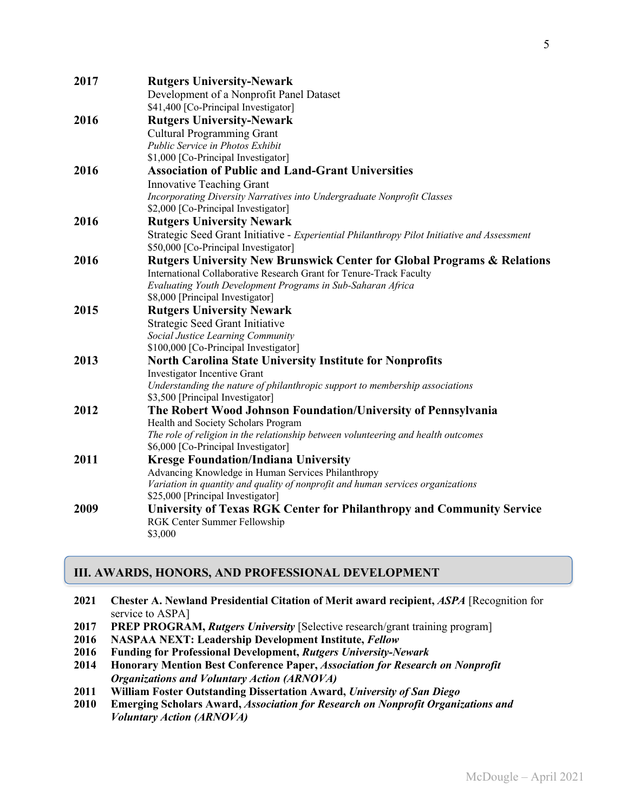| 2017 | <b>Rutgers University-Newark</b>                                                            |
|------|---------------------------------------------------------------------------------------------|
|      | Development of a Nonprofit Panel Dataset                                                    |
|      | \$41,400 [Co-Principal Investigator]                                                        |
| 2016 | <b>Rutgers University-Newark</b>                                                            |
|      | <b>Cultural Programming Grant</b>                                                           |
|      | Public Service in Photos Exhibit                                                            |
|      | \$1,000 [Co-Principal Investigator]                                                         |
| 2016 | <b>Association of Public and Land-Grant Universities</b>                                    |
|      | <b>Innovative Teaching Grant</b>                                                            |
|      | Incorporating Diversity Narratives into Undergraduate Nonprofit Classes                     |
|      | \$2,000 [Co-Principal Investigator]                                                         |
| 2016 | <b>Rutgers University Newark</b>                                                            |
|      | Strategic Seed Grant Initiative - Experiential Philanthropy Pilot Initiative and Assessment |
|      | \$50,000 [Co-Principal Investigator]                                                        |
| 2016 | <b>Rutgers University New Brunswick Center for Global Programs &amp; Relations</b>          |
|      | International Collaborative Research Grant for Tenure-Track Faculty                         |
|      | Evaluating Youth Development Programs in Sub-Saharan Africa                                 |
|      | \$8,000 [Principal Investigator]                                                            |
| 2015 | <b>Rutgers University Newark</b>                                                            |
|      | Strategic Seed Grant Initiative                                                             |
|      | Social Justice Learning Community                                                           |
|      | \$100,000 [Co-Principal Investigator]                                                       |
| 2013 | <b>North Carolina State University Institute for Nonprofits</b>                             |
|      | Investigator Incentive Grant                                                                |
|      | Understanding the nature of philanthropic support to membership associations                |
|      | \$3,500 [Principal Investigator]                                                            |
| 2012 | The Robert Wood Johnson Foundation/University of Pennsylvania                               |
|      | Health and Society Scholars Program                                                         |
|      | The role of religion in the relationship between volunteering and health outcomes           |
|      | \$6,000 [Co-Principal Investigator]                                                         |
| 2011 | <b>Kresge Foundation/Indiana University</b>                                                 |
|      | Advancing Knowledge in Human Services Philanthropy                                          |
|      | Variation in quantity and quality of nonprofit and human services organizations             |
|      | \$25,000 [Principal Investigator]                                                           |
| 2009 | University of Texas RGK Center for Philanthropy and Community Service                       |
|      | RGK Center Summer Fellowship                                                                |
|      | \$3,000                                                                                     |

# **III. AWARDS, HONORS, AND PROFESSIONAL DEVELOPMENT**

- **2021 Chester A. Newland Presidential Citation of Merit award recipient,** *ASPA* [Recognition for service to ASPA]
- **2017 PREP PROGRAM,** *Rutgers University* [Selective research/grant training program]
- **2016 NASPAA NEXT: Leadership Development Institute,** *Fellow*
- **2016 Funding for Professional Development,** *Rutgers University-Newark*
- **2014 Honorary Mention Best Conference Paper,** *Association for Research on Nonprofit Organizations and Voluntary Action (ARNOVA)*
- **2011 William Foster Outstanding Dissertation Award,** *University of San Diego*
- **2010 Emerging Scholars Award,** *Association for Research on Nonprofit Organizations and Voluntary Action (ARNOVA)*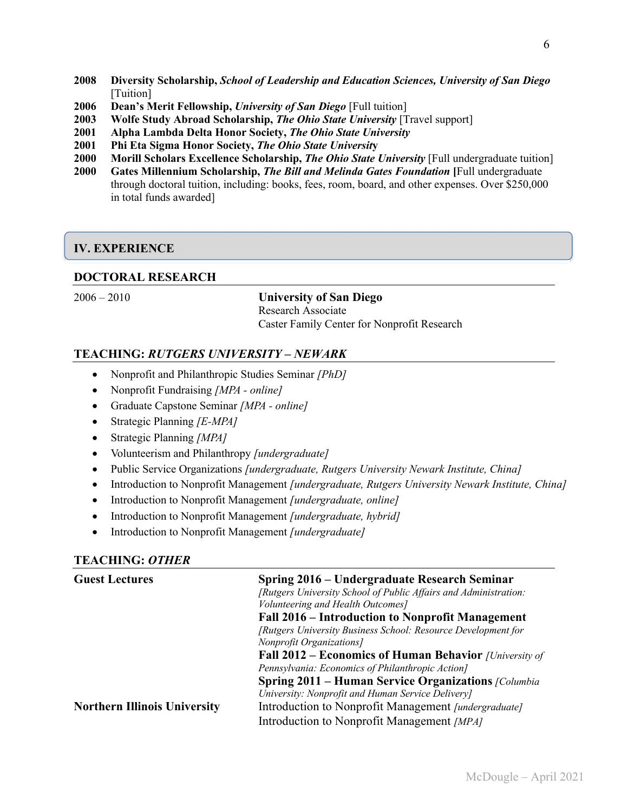- **2008 Diversity Scholarship,** *School of Leadership and Education Sciences, University of San Diego*  [Tuition]
- **2006 Dean's Merit Fellowship,** *University of San Diego* [Full tuition]
- **2003 Wolfe Study Abroad Scholarship,** *The Ohio State University* [Travel support]
- **2001 Alpha Lambda Delta Honor Society,** *The Ohio State University*
- **2001 Phi Eta Sigma Honor Society,** *The Ohio State Universit***y**
- **2000 Morill Scholars Excellence Scholarship,** *The Ohio State University* [Full undergraduate tuition]
- **2000 Gates Millennium Scholarship,** *The Bill and Melinda Gates Foundation* **[**Full undergraduate through doctoral tuition, including: books, fees, room, board, and other expenses. Over \$250,000 in total funds awarded]

### **IV. EXPERIENCE**

#### **DOCTORAL RESEARCH**

2006 – 2010 **University of San Diego** Research Associate Caster Family Center for Nonprofit Research

#### **TEACHING:** *RUTGERS UNIVERSITY – NEWARK*

- Nonprofit and Philanthropic Studies Seminar *[PhD]*
- Nonprofit Fundraising *[MPA - online]*
- Graduate Capstone Seminar *[MPA - online]*
- Strategic Planning *[E-MPA]*
- Strategic Planning *[MPA]*
- Volunteerism and Philanthropy *[undergraduate]*
- Public Service Organizations *[undergraduate, Rutgers University Newark Institute, China]*
- Introduction to Nonprofit Management *[undergraduate, Rutgers University Newark Institute, China]*
- Introduction to Nonprofit Management *[undergraduate, online]*
- Introduction to Nonprofit Management *[undergraduate, hybrid]*
- Introduction to Nonprofit Management *[undergraduate]*

#### **TEACHING:** *OTHER*

| <b>Guest Lectures</b>               | Spring 2016 – Undergraduate Research Seminar                     |
|-------------------------------------|------------------------------------------------------------------|
|                                     | [Rutgers University School of Public Affairs and Administration: |
|                                     | Volunteering and Health Outcomes]                                |
|                                     | Fall 2016 – Introduction to Nonprofit Management                 |
|                                     | [Rutgers University Business School: Resource Development for    |
|                                     | <b>Nonprofit Organizations</b>                                   |
|                                     | <b>Fall 2012 – Economics of Human Behavior</b> [University of    |
|                                     | Pennsylvania: Economics of Philanthropic Action]                 |
|                                     | <b>Spring 2011 – Human Service Organizations</b> [Columbia]      |
|                                     | University: Nonprofit and Human Service Delivery]                |
| <b>Northern Illinois University</b> | Introduction to Nonprofit Management [undergraduate]             |
|                                     | Introduction to Nonprofit Management [MPA]                       |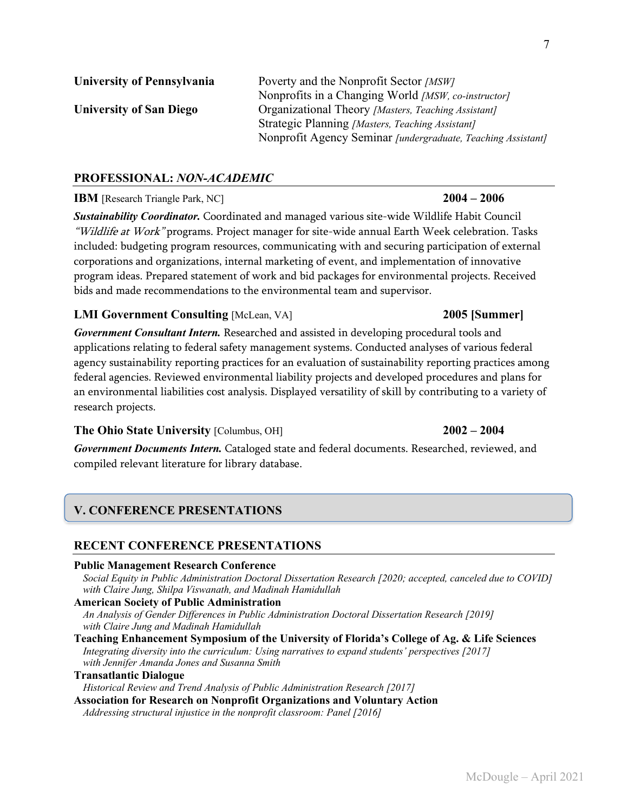| <b>University of Pennsylvania</b> | Poverty and the Nonprofit Sector [MSW]                       |
|-----------------------------------|--------------------------------------------------------------|
|                                   | Nonprofits in a Changing World [MSW, co-instructor]          |
| <b>University of San Diego</b>    | Organizational Theory [Masters, Teaching Assistant]          |
|                                   | Strategic Planning [Masters, Teaching Assistant]             |
|                                   | Nonprofit Agency Seminar [undergraduate, Teaching Assistant] |

# **PROFESSIONAL:** *NON-ACADEMIC*

### **IBM** [Research Triangle Park, NC] **2004 – 2006**

*Sustainability Coordinator.* Coordinated and managed various site-wide Wildlife Habit Council "Wildlife at Work" programs. Project manager for site-wide annual Earth Week celebration. Tasks included: budgeting program resources, communicating with and securing participation of external corporations and organizations, internal marketing of event, and implementation of innovative program ideas. Prepared statement of work and bid packages for environmental projects. Received bids and made recommendations to the environmental team and supervisor.

#### **LMI Government Consulting** [McLean, VA] **2005 [Summer]**

*Government Consultant Intern.* Researched and assisted in developing procedural tools and applications relating to federal safety management systems. Conducted analyses of various federal agency sustainability reporting practices for an evaluation of sustainability reporting practices among federal agencies. Reviewed environmental liability projects and developed procedures and plans for an environmental liabilities cost analysis. Displayed versatility of skill by contributing to a variety of research projects.

#### **The Ohio State University** [Columbus, OH] **2002 – 2004**

# *Government Documents Intern.* Cataloged state and federal documents. Researched, reviewed, and compiled relevant literature for library database.

# **V. CONFERENCE PRESENTATIONS**

### **RECENT CONFERENCE PRESENTATIONS**

#### **Public Management Research Conference**

*Social Equity in Public Administration Doctoral Dissertation Research [2020; accepted, canceled due to COVID] with Claire Jung, Shilpa Viswanath, and Madinah Hamidullah*

#### **American Society of Public Administration**

*An Analysis of Gender Differences in Public Administration Doctoral Dissertation Research [2019] with Claire Jung and Madinah Hamidullah*

**Teaching Enhancement Symposium of the University of Florida's College of Ag. & Life Sciences**  *Integrating diversity into the curriculum: Using narratives to expand students' perspectives [2017] with Jennifer Amanda Jones and Susanna Smith* 

#### **Transatlantic Dialogue**

*Historical Review and Trend Analysis of Public Administration Research [2017]* 

**Association for Research on Nonprofit Organizations and Voluntary Action**  *Addressing structural injustice in the nonprofit classroom: Panel [2016]*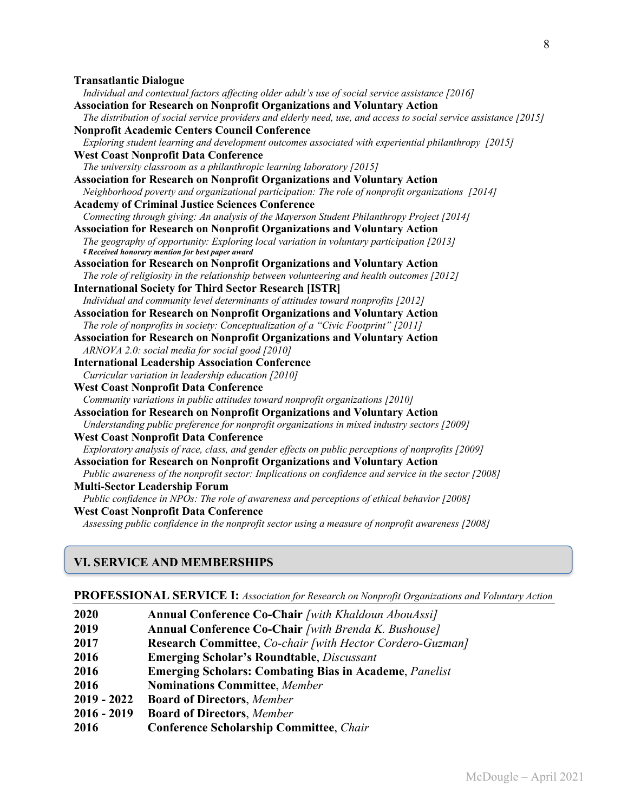#### **Transatlantic Dialogue**

| Individual and contextual factors affecting older adult's use of social service assistance [2016]                  |
|--------------------------------------------------------------------------------------------------------------------|
| <b>Association for Research on Nonprofit Organizations and Voluntary Action</b>                                    |
| The distribution of social service providers and elderly need, use, and access to social service assistance [2015] |
| <b>Nonprofit Academic Centers Council Conference</b>                                                               |
| Exploring student learning and development outcomes associated with experiential philanthropy [2015]               |
| <b>West Coast Nonprofit Data Conference</b>                                                                        |
| The university classroom as a philanthropic learning laboratory [2015]                                             |
| <b>Association for Research on Nonprofit Organizations and Voluntary Action</b>                                    |
| Neighborhood poverty and organizational participation: The role of nonprofit organizations [2014]                  |
| <b>Academy of Criminal Justice Sciences Conference</b>                                                             |
| Connecting through giving: An analysis of the Mayerson Student Philanthropy Project [2014]                         |
| <b>Association for Research on Nonprofit Organizations and Voluntary Action</b>                                    |
| The geography of opportunity: Exploring local variation in voluntary participation [2013]                          |
| <i><b><i>E</i></b> Received honorary mention for best paper award</i>                                              |
| <b>Association for Research on Nonprofit Organizations and Voluntary Action</b>                                    |
| The role of religiosity in the relationship between volunteering and health outcomes [2012]                        |
| <b>International Society for Third Sector Research [ISTR]</b>                                                      |
| Individual and community level determinants of attitudes toward nonprofits [2012]                                  |
| Association for Research on Nonprofit Organizations and Voluntary Action                                           |
| The role of nonprofits in society: Conceptualization of a "Civic Footprint" [2011]                                 |
| <b>Association for Research on Nonprofit Organizations and Voluntary Action</b>                                    |
| ARNOVA 2.0: social media for social good [2010]                                                                    |
| <b>International Leadership Association Conference</b>                                                             |
| Curricular variation in leadership education [2010]                                                                |
| <b>West Coast Nonprofit Data Conference</b>                                                                        |
| Community variations in public attitudes toward nonprofit organizations [2010]                                     |
| <b>Association for Research on Nonprofit Organizations and Voluntary Action</b>                                    |
| Understanding public preference for nonprofit organizations in mixed industry sectors [2009]                       |
| <b>West Coast Nonprofit Data Conference</b>                                                                        |
| Exploratory analysis of race, class, and gender effects on public perceptions of nonprofits [2009]                 |
| <b>Association for Research on Nonprofit Organizations and Voluntary Action</b>                                    |
| Public awareness of the nonprofit sector: Implications on confidence and service in the sector [2008]              |
| <b>Multi-Sector Leadership Forum</b>                                                                               |
| Public confidence in NPOs: The role of awareness and perceptions of ethical behavior [2008]                        |
| <b>West Coast Nonprofit Data Conference</b>                                                                        |
| Assessing public confidence in the nonprofit sector using a measure of nonprofit awareness [2008]                  |

# **VI. SERVICE AND MEMBERSHIPS**

#### **PROFESSIONAL SERVICE I:** *Association for Research on Nonprofit Organizations and Voluntary Action*

| 2020          | <b>Annual Conference Co-Chair</b> [with Khaldoun AbouAssi]    |
|---------------|---------------------------------------------------------------|
| 2019          | <b>Annual Conference Co-Chair</b> [with Brenda K. Bushouse]   |
| 2017          | Research Committee, Co-chair [with Hector Cordero-Guzman]     |
| 2016          | <b>Emerging Scholar's Roundtable, Discussant</b>              |
| 2016          | <b>Emerging Scholars: Combating Bias in Academe, Panelist</b> |
| 2016          | <b>Nominations Committee, Member</b>                          |
| $2019 - 2022$ | <b>Board of Directors, Member</b>                             |
| $2016 - 2019$ | <b>Board of Directors, Member</b>                             |
| 2016          | <b>Conference Scholarship Committee, Chair</b>                |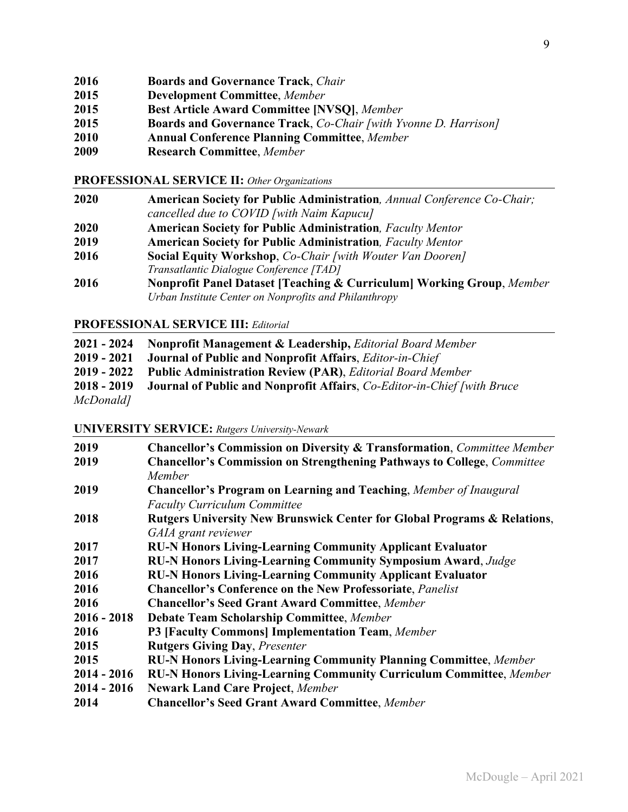- **2016 Boards and Governance Track**, *Chair*
- **2015 Development Committee**, *Member*
- **2015 Best Article Award Committee [NVSQ]**, *Member*
- **2015 Boards and Governance Track**, *Co-Chair [with Yvonne D. Harrison]*
- **2010 Annual Conference Planning Committee**, *Member*
- **2009 Research Committee**, *Member*

#### **PROFESSIONAL SERVICE II:** *Other Organizations*

**2020 American Society for Public Administration***, Annual Conference Co-Chair; cancelled due to COVID [with Naim Kapucu]* **2020 American Society for Public Administration***, Faculty Mentor* **2019 American Society for Public Administration***, Faculty Mentor* **2016 Social Equity Workshop**, *Co-Chair [with Wouter Van Dooren] Transatlantic Dialogue Conference [TAD]* **2016 Nonprofit Panel Dataset [Teaching & Curriculum] Working Group**, *Member Urban Institute Center on Nonprofits and Philanthropy*

#### **PROFESSIONAL SERVICE III:** *Editorial*

|           | <b>2021 - 2024</b> Nonprofit Management & Leadership, <i>Editorial Board Member</i>          |
|-----------|----------------------------------------------------------------------------------------------|
|           | 2019 - 2021 Journal of Public and Nonprofit Affairs, <i>Editor-in-Chief</i>                  |
|           | <b>2019 - 2022</b> Public Administration Review (PAR), <i>Editorial Board Member</i>         |
|           | <b>2018 - 2019 - Journal of Public and Nonprofit Affairs, Co-Editor-in-Chief [with Bruce</b> |
| McDonald] |                                                                                              |

#### **UNIVERSITY SERVICE:** *Rutgers University-Newark*

| 2019          | <b>Chancellor's Commission on Diversity &amp; Transformation, Committee Member</b> |
|---------------|------------------------------------------------------------------------------------|
| 2019          | <b>Chancellor's Commission on Strengthening Pathways to College, Committee</b>     |
|               | Member                                                                             |
| 2019          | <b>Chancellor's Program on Learning and Teaching, Member of Inaugural</b>          |
|               | <b>Faculty Curriculum Committee</b>                                                |
| 2018          | Rutgers University New Brunswick Center for Global Programs & Relations,           |
|               | GAIA grant reviewer                                                                |
| 2017          | <b>RU-N Honors Living-Learning Community Applicant Evaluator</b>                   |
| 2017          | <b>RU-N Honors Living-Learning Community Symposium Award, Judge</b>                |
| 2016          | <b>RU-N Honors Living-Learning Community Applicant Evaluator</b>                   |
| 2016          | <b>Chancellor's Conference on the New Professoriate, Panelist</b>                  |
| 2016          | <b>Chancellor's Seed Grant Award Committee, Member</b>                             |
| $2016 - 2018$ | <b>Debate Team Scholarship Committee, Member</b>                                   |
| 2016          | P3 [Faculty Commons] Implementation Team, Member                                   |
| 2015          | <b>Rutgers Giving Day, Presenter</b>                                               |
| 2015          | <b>RU-N Honors Living-Learning Community Planning Committee</b> , Member           |
| $2014 - 2016$ | RU-N Honors Living-Learning Community Curriculum Committee, Member                 |
| $2014 - 2016$ | <b>Newark Land Care Project, Member</b>                                            |
| 2014          | <b>Chancellor's Seed Grant Award Committee, Member</b>                             |
|               |                                                                                    |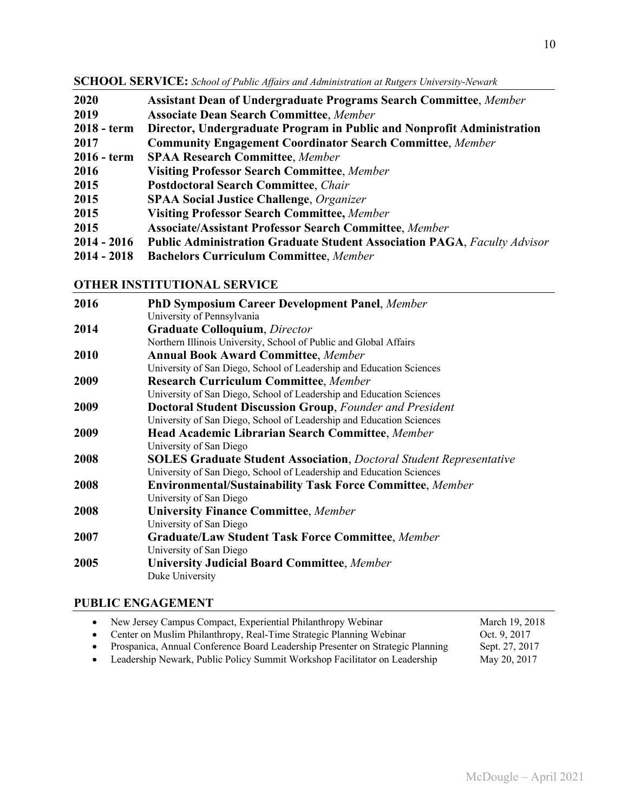**SCHOOL SERVICE:** *School of Public Affairs and Administration at Rutgers University-Newark*

| 2020          | <b>Assistant Dean of Undergraduate Programs Search Committee, Member</b>        |
|---------------|---------------------------------------------------------------------------------|
| 2019          | <b>Associate Dean Search Committee, Member</b>                                  |
| 2018 - term   | Director, Undergraduate Program in Public and Nonprofit Administration          |
| 2017          | <b>Community Engagement Coordinator Search Committee, Member</b>                |
| $2016 - term$ | <b>SPAA Research Committee, Member</b>                                          |
| 2016          | <b>Visiting Professor Search Committee, Member</b>                              |
| 2015          | <b>Postdoctoral Search Committee, Chair</b>                                     |
| 2015          | <b>SPAA Social Justice Challenge, Organizer</b>                                 |
| 2015          | <b>Visiting Professor Search Committee, Member</b>                              |
| 2015          | <b>Associate/Assistant Professor Search Committee, Member</b>                   |
| $2014 - 2016$ | <b>Public Administration Graduate Student Association PAGA, Faculty Advisor</b> |
| $2014 - 2018$ | <b>Bachelors Curriculum Committee, Member</b>                                   |

# **OTHER INSTITUTIONAL SERVICE**

| 2016 | <b>PhD Symposium Career Development Panel, Member</b>                      |
|------|----------------------------------------------------------------------------|
|      | University of Pennsylvania                                                 |
| 2014 | <b>Graduate Colloquium</b> , <i>Director</i>                               |
|      | Northern Illinois University, School of Public and Global Affairs          |
| 2010 | <b>Annual Book Award Committee, Member</b>                                 |
|      | University of San Diego, School of Leadership and Education Sciences       |
| 2009 | <b>Research Curriculum Committee, Member</b>                               |
|      | University of San Diego, School of Leadership and Education Sciences       |
| 2009 | <b>Doctoral Student Discussion Group, Founder and President</b>            |
|      | University of San Diego, School of Leadership and Education Sciences       |
| 2009 | <b>Head Academic Librarian Search Committee, Member</b>                    |
|      | University of San Diego                                                    |
| 2008 | <b>SOLES Graduate Student Association, Doctoral Student Representative</b> |
|      | University of San Diego, School of Leadership and Education Sciences       |
| 2008 | <b>Environmental/Sustainability Task Force Committee, Member</b>           |
|      | University of San Diego                                                    |
| 2008 | <b>University Finance Committee, Member</b>                                |
|      | University of San Diego                                                    |
| 2007 | <b>Graduate/Law Student Task Force Committee, Member</b>                   |
|      | University of San Diego                                                    |
| 2005 | <b>University Judicial Board Committee, Member</b>                         |
|      | Duke University                                                            |
|      |                                                                            |

# **PUBLIC ENGAGEMENT**

| New Jersey Campus Compact, Experiential Philanthropy Webinar                     | March 19, 2018 |
|----------------------------------------------------------------------------------|----------------|
| • Center on Muslim Philanthropy, Real-Time Strategic Planning Webinar            | Oct. 9, 2017   |
| • Prospanica, Annual Conference Board Leadership Presenter on Strategic Planning | Sept. 27, 2017 |
| • Leadership Newark, Public Policy Summit Workshop Facilitator on Leadership     | May 20, 2017   |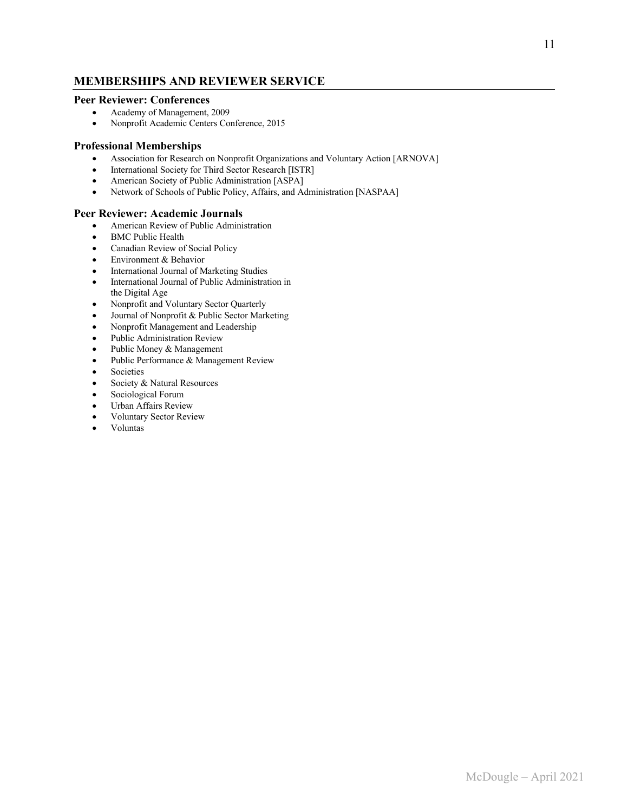### **MEMBERSHIPS AND REVIEWER SERVICE**

#### **Peer Reviewer: Conferences**

- Academy of Management, 2009
- Nonprofit Academic Centers Conference, 2015

#### **Professional Memberships**

- Association for Research on Nonprofit Organizations and Voluntary Action [ARNOVA]
- International Society for Third Sector Research [ISTR]
- American Society of Public Administration [ASPA]
- Network of Schools of Public Policy, Affairs, and Administration [NASPAA]

#### **Peer Reviewer: Academic Journals**

- American Review of Public Administration
- BMC Public Health
- Canadian Review of Social Policy
- Environment & Behavior
- International Journal of Marketing Studies
- International Journal of Public Administration in the Digital Age
- Nonprofit and Voluntary Sector Quarterly
- Journal of Nonprofit & Public Sector Marketing
- Nonprofit Management and Leadership
- Public Administration Review
- Public Money & Management
- Public Performance & Management Review
- Societies
- Society & Natural Resources
- Sociological Forum
- Urban Affairs Review
- Voluntary Sector Review
- Voluntas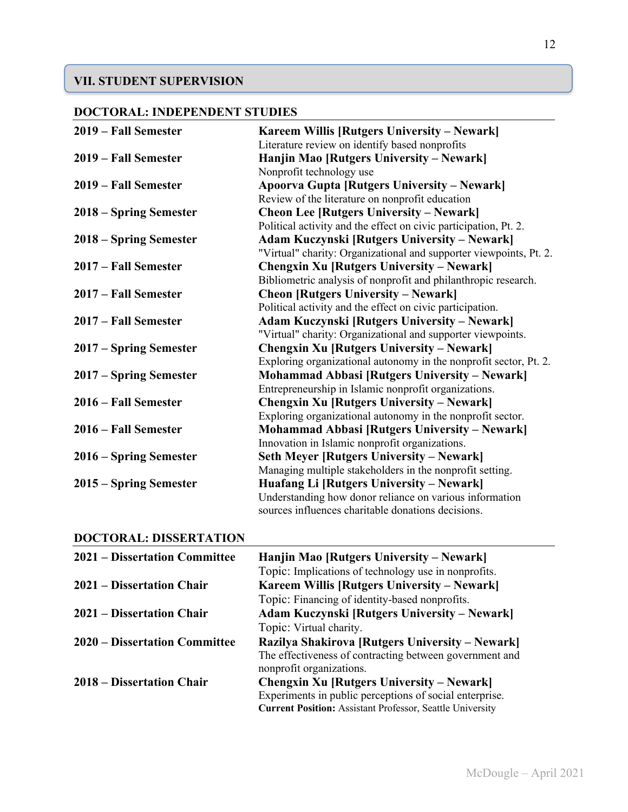# **VII. STUDENT SUPERVISION**

# **DOCTORAL: INDEPENDENT STUDIES**

| 2019 – Fall Semester   | Kareem Willis [Rutgers University – Newark]                        |
|------------------------|--------------------------------------------------------------------|
|                        | Literature review on identify based nonprofits                     |
| 2019 – Fall Semester   | Hanjin Mao [Rutgers University – Newark]                           |
|                        | Nonprofit technology use                                           |
| 2019 – Fall Semester   | <b>Apoorva Gupta [Rutgers University – Newark]</b>                 |
|                        | Review of the literature on nonprofit education                    |
| 2018 – Spring Semester | <b>Cheon Lee [Rutgers University – Newark]</b>                     |
|                        | Political activity and the effect on civic participation, Pt. 2.   |
| 2018 – Spring Semester | <b>Adam Kuczynski [Rutgers University – Newark]</b>                |
|                        | "Virtual" charity: Organizational and supporter viewpoints, Pt. 2. |
| 2017 – Fall Semester   | <b>Chengxin Xu [Rutgers University – Newark]</b>                   |
|                        | Bibliometric analysis of nonprofit and philanthropic research.     |
| 2017 – Fall Semester   | <b>Cheon [Rutgers University – Newark]</b>                         |
|                        | Political activity and the effect on civic participation.          |
| 2017 – Fall Semester   | <b>Adam Kuczynski [Rutgers University – Newark]</b>                |
|                        | "Virtual" charity: Organizational and supporter viewpoints.        |
| 2017 – Spring Semester | <b>Chengxin Xu [Rutgers University – Newark]</b>                   |
|                        | Exploring organizational autonomy in the nonprofit sector, Pt. 2.  |
| 2017 – Spring Semester | <b>Mohammad Abbasi [Rutgers University – Newark]</b>               |
|                        | Entrepreneurship in Islamic nonprofit organizations.               |
| 2016 – Fall Semester   | <b>Chengxin Xu [Rutgers University – Newark]</b>                   |
|                        | Exploring organizational autonomy in the nonprofit sector.         |
| 2016 – Fall Semester   | <b>Mohammad Abbasi [Rutgers University – Newark]</b>               |
|                        | Innovation in Islamic nonprofit organizations.                     |
| 2016 – Spring Semester | <b>Seth Meyer [Rutgers University – Newark]</b>                    |
|                        | Managing multiple stakeholders in the nonprofit setting.           |
| 2015 – Spring Semester | Huafang Li [Rutgers University – Newark]                           |
|                        | Understanding how donor reliance on various information            |
|                        | sources influences charitable donations decisions.                 |

# **DOCTORAL: DISSERTATION**

| <b>2021 – Dissertation Committee</b> | Hanjin Mao [Rutgers University – Newark]                                                                                    |
|--------------------------------------|-----------------------------------------------------------------------------------------------------------------------------|
| 2021 – Dissertation Chair            | Topic: Implications of technology use in nonprofits.<br>Kareem Willis [Rutgers University – Newark]                         |
|                                      | Topic: Financing of identity-based nonprofits.                                                                              |
| 2021 – Dissertation Chair            | <b>Adam Kuczynski [Rutgers University – Newark]</b>                                                                         |
|                                      | Topic: Virtual charity.                                                                                                     |
| 2020 – Dissertation Committee        | Razilya Shakirova [Rutgers University – Newark]                                                                             |
|                                      | The effectiveness of contracting between government and<br>nonprofit organizations.                                         |
| 2018 – Dissertation Chair            | <b>Chengxin Xu [Rutgers University – Newark]</b>                                                                            |
|                                      | Experiments in public perceptions of social enterprise.<br><b>Current Position:</b> Assistant Professor, Seattle University |